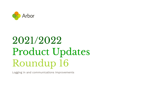

# 2021/2022 Product Updates Roundup 16

Logging in and communications improvements